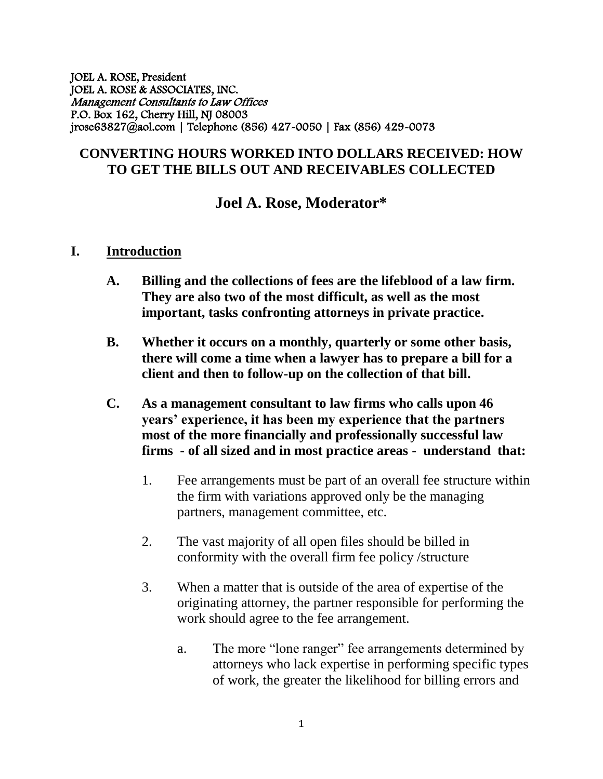JOEL A. ROSE, President JOEL A. ROSE & ASSOCIATES, INC. Management Consultants to Law Offices P.O. Box 162, Cherry Hill, NJ 08003 jrose63827@aol.com | Telephone (856) 427-0050 | Fax (856) 429-0073

## **CONVERTING HOURS WORKED INTO DOLLARS RECEIVED: HOW TO GET THE BILLS OUT AND RECEIVABLES COLLECTED**

# **Joel A. Rose, Moderator\***

#### **I. Introduction**

- **A. Billing and the collections of fees are the lifeblood of a law firm. They are also two of the most difficult, as well as the most important, tasks confronting attorneys in private practice.**
- **B. Whether it occurs on a monthly, quarterly or some other basis, there will come a time when a lawyer has to prepare a bill for a client and then to follow-up on the collection of that bill.**
- **C. As a management consultant to law firms who calls upon 46 years' experience, it has been my experience that the partners most of the more financially and professionally successful law firms - of all sized and in most practice areas - understand that:**
	- 1. Fee arrangements must be part of an overall fee structure within the firm with variations approved only be the managing partners, management committee, etc.
	- 2. The vast majority of all open files should be billed in conformity with the overall firm fee policy /structure
	- 3. When a matter that is outside of the area of expertise of the originating attorney, the partner responsible for performing the work should agree to the fee arrangement.
		- a. The more "lone ranger" fee arrangements determined by attorneys who lack expertise in performing specific types of work, the greater the likelihood for billing errors and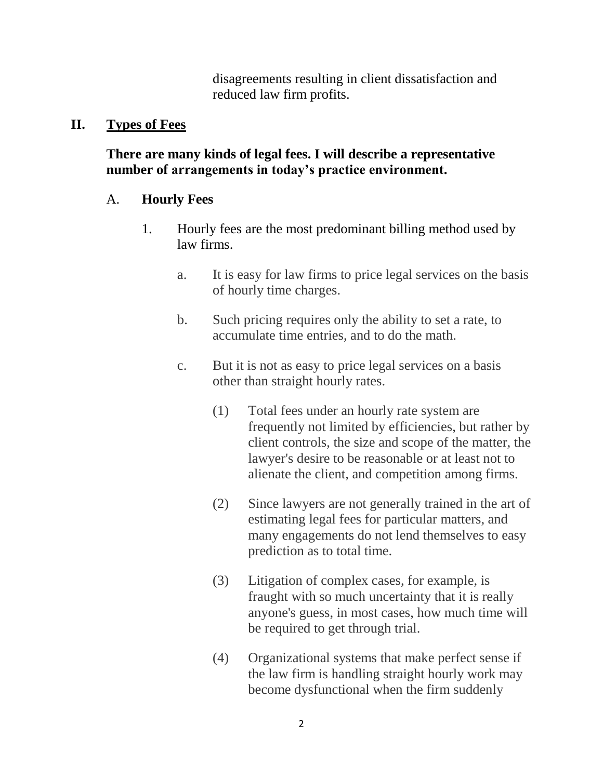disagreements resulting in client dissatisfaction and reduced law firm profits.

#### **II. Types of Fees**

**There are many kinds of legal fees. I will describe a representative number of arrangements in today's practice environment.**

## A. **Hourly Fees**

- 1. Hourly fees are the most predominant billing method used by law firms.
	- a. It is easy for law firms to price legal services on the basis of hourly time charges.
	- b. Such pricing requires only the ability to set a rate, to accumulate time entries, and to do the math.
	- c. But it is not as easy to price legal services on a basis other than straight hourly rates.
		- (1) Total fees under an hourly rate system are frequently not limited by efficiencies, but rather by client controls, the size and scope of the matter, the lawyer's desire to be reasonable or at least not to alienate the client, and competition among firms.
		- (2) Since lawyers are not generally trained in the art of estimating legal fees for particular matters, and many engagements do not lend themselves to easy prediction as to total time.
		- (3) Litigation of complex cases, for example, is fraught with so much uncertainty that it is really anyone's guess, in most cases, how much time will be required to get through trial.
		- (4) Organizational systems that make perfect sense if the law firm is handling straight hourly work may become dysfunctional when the firm suddenly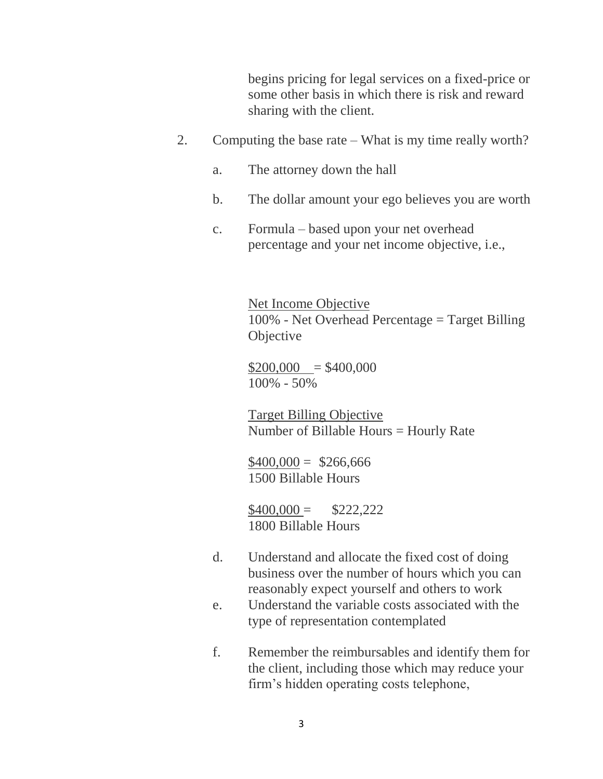begins pricing for legal services on a fixed-price or some other basis in which there is risk and reward sharing with the client.

- 2. Computing the base rate What is my time really worth?
	- a. The attorney down the hall
	- b. The dollar amount your ego believes you are worth
	- c. Formula based upon your net overhead percentage and your net income objective, i.e.,

Net Income Objective 100% - Net Overhead Percentage = Target Billing **Objective** 

 $$200,000 = $400,000$ 100% - 50%

Target Billing Objective Number of Billable Hours = Hourly Rate

 $$400,000 = $266,666$ 1500 Billable Hours

 $$400,000 = $222,222$ 1800 Billable Hours

- d. Understand and allocate the fixed cost of doing business over the number of hours which you can reasonably expect yourself and others to work
- e. Understand the variable costs associated with the type of representation contemplated
- f. Remember the reimbursables and identify them for the client, including those which may reduce your firm's hidden operating costs telephone,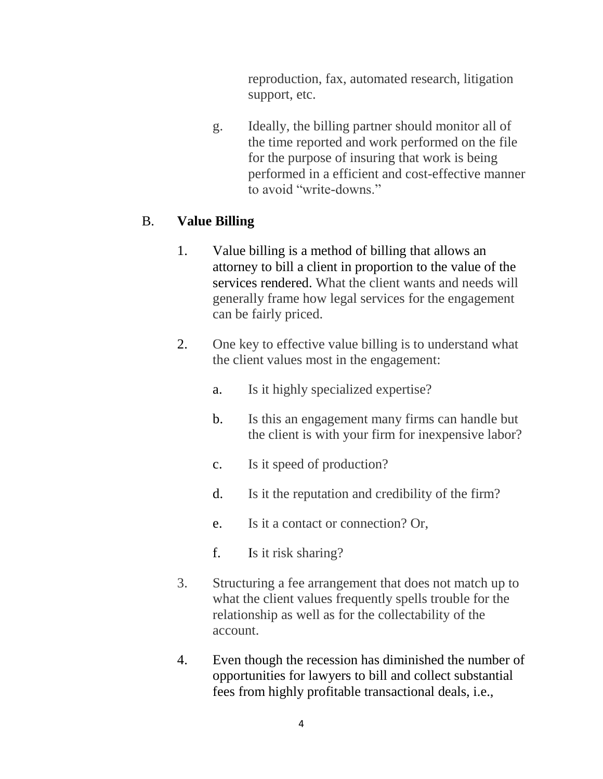reproduction, fax, automated research, litigation support, etc.

g. Ideally, the billing partner should monitor all of the time reported and work performed on the file for the purpose of insuring that work is being performed in a efficient and cost-effective manner to avoid "write-downs."

## B. **Value Billing**

- 1. Value billing is a method of billing that allows an attorney to bill a client in proportion to the value of the services rendered. What the client wants and needs will generally frame how legal services for the engagement can be fairly priced.
- 2. One key to effective value billing is to understand what the client values most in the engagement:
	- a. Is it highly specialized expertise?
	- b. Is this an engagement many firms can handle but the client is with your firm for inexpensive labor?
	- c. Is it speed of production?
	- d. Is it the reputation and credibility of the firm?
	- e. Is it a contact or connection? Or,
	- f. Is it risk sharing?
- 3. Structuring a fee arrangement that does not match up to what the client values frequently spells trouble for the relationship as well as for the collectability of the account.
- 4. Even though the recession has diminished the number of opportunities for lawyers to bill and collect substantial fees from highly profitable transactional deals, i.e.,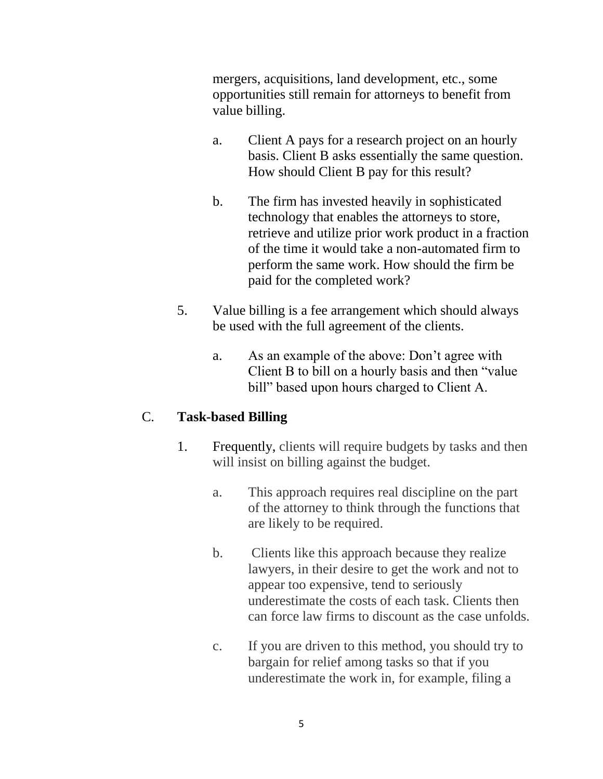mergers, acquisitions, land development, etc., some opportunities still remain for attorneys to benefit from value billing.

- a. Client A pays for a research project on an hourly basis. Client B asks essentially the same question. How should Client B pay for this result?
- b. The firm has invested heavily in sophisticated technology that enables the attorneys to store, retrieve and utilize prior work product in a fraction of the time it would take a non-automated firm to perform the same work. How should the firm be paid for the completed work?
- 5. Value billing is a fee arrangement which should always be used with the full agreement of the clients.
	- a. As an example of the above: Don't agree with Client B to bill on a hourly basis and then "value bill" based upon hours charged to Client A.

## C. **Task-based Billing**

- 1. Frequently, clients will require budgets by tasks and then will insist on billing against the budget.
	- a. This approach requires real discipline on the part of the attorney to think through the functions that are likely to be required.
	- b. Clients like this approach because they realize lawyers, in their desire to get the work and not to appear too expensive, tend to seriously underestimate the costs of each task. Clients then can force law firms to discount as the case unfolds.
	- c. If you are driven to this method, you should try to bargain for relief among tasks so that if you underestimate the work in, for example, filing a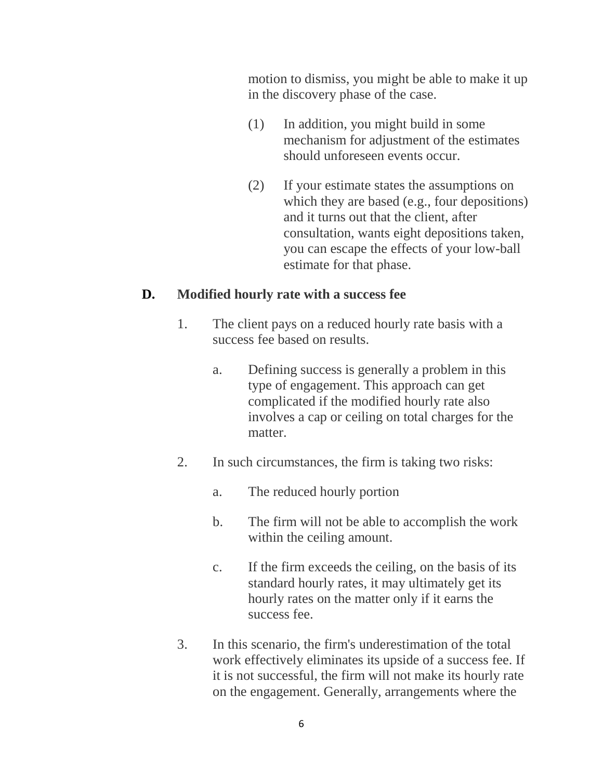motion to dismiss, you might be able to make it up in the discovery phase of the case.

- (1) In addition, you might build in some mechanism for adjustment of the estimates should unforeseen events occur.
- (2) If your estimate states the assumptions on which they are based (e.g., four depositions) and it turns out that the client, after consultation, wants eight depositions taken, you can escape the effects of your low-ball estimate for that phase.

#### **D. Modified hourly rate with a success fee**

- 1. The client pays on a reduced hourly rate basis with a success fee based on results.
	- a. Defining success is generally a problem in this type of engagement. This approach can get complicated if the modified hourly rate also involves a cap or ceiling on total charges for the matter.
- 2. In such circumstances, the firm is taking two risks:
	- a. The reduced hourly portion
	- b. The firm will not be able to accomplish the work within the ceiling amount.
	- c. If the firm exceeds the ceiling, on the basis of its standard hourly rates, it may ultimately get its hourly rates on the matter only if it earns the success fee.
- 3. In this scenario, the firm's underestimation of the total work effectively eliminates its upside of a success fee. If it is not successful, the firm will not make its hourly rate on the engagement. Generally, arrangements where the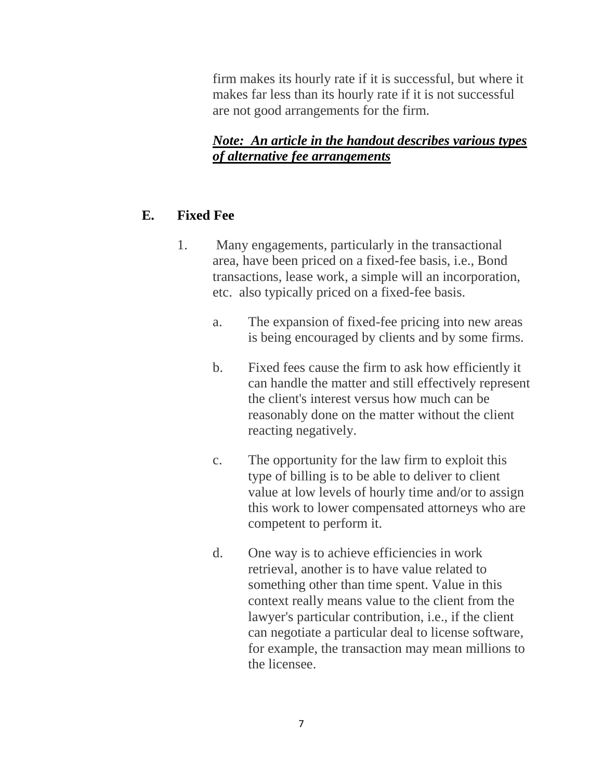firm makes its hourly rate if it is successful, but where it makes far less than its hourly rate if it is not successful are not good arrangements for the firm.

## *Note: An article in the handout describes various types of alternative fee arrangements*

# **E. Fixed Fee**

- 1. Many engagements, particularly in the transactional area, have been priced on a fixed-fee basis, i.e., Bond transactions, lease work, a simple will an incorporation, etc. also typically priced on a fixed-fee basis.
	- a. The expansion of fixed-fee pricing into new areas is being encouraged by clients and by some firms.
	- b. Fixed fees cause the firm to ask how efficiently it can handle the matter and still effectively represent the client's interest versus how much can be reasonably done on the matter without the client reacting negatively.
	- c. The opportunity for the law firm to exploit this type of billing is to be able to deliver to client value at low levels of hourly time and/or to assign this work to lower compensated attorneys who are competent to perform it.
	- d. One way is to achieve efficiencies in work retrieval, another is to have value related to something other than time spent. Value in this context really means value to the client from the lawyer's particular contribution, i.e., if the client can negotiate a particular deal to license software, for example, the transaction may mean millions to the licensee.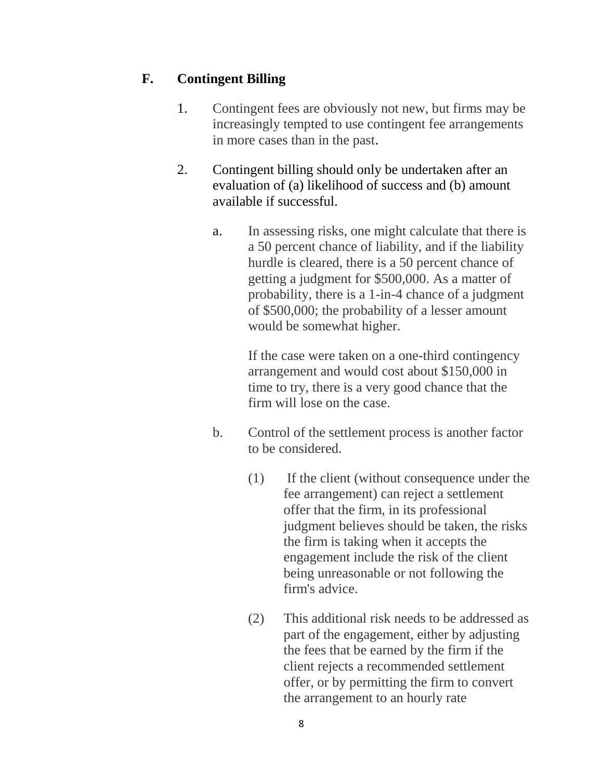# **F. Contingent Billing**

- 1. Contingent fees are obviously not new, but firms may be increasingly tempted to use contingent fee arrangements in more cases than in the past.
- 2. Contingent billing should only be undertaken after an evaluation of (a) likelihood of success and (b) amount available if successful.
	- a. In assessing risks, one might calculate that there is a 50 percent chance of liability, and if the liability hurdle is cleared, there is a 50 percent chance of getting a judgment for \$500,000. As a matter of probability, there is a 1-in-4 chance of a judgment of \$500,000; the probability of a lesser amount would be somewhat higher.

If the case were taken on a one-third contingency arrangement and would cost about \$150,000 in time to try, there is a very good chance that the firm will lose on the case.

- b. Control of the settlement process is another factor to be considered.
	- (1) If the client (without consequence under the fee arrangement) can reject a settlement offer that the firm, in its professional judgment believes should be taken, the risks the firm is taking when it accepts the engagement include the risk of the client being unreasonable or not following the firm's advice.
	- (2) This additional risk needs to be addressed as part of the engagement, either by adjusting the fees that be earned by the firm if the client rejects a recommended settlement offer, or by permitting the firm to convert the arrangement to an hourly rate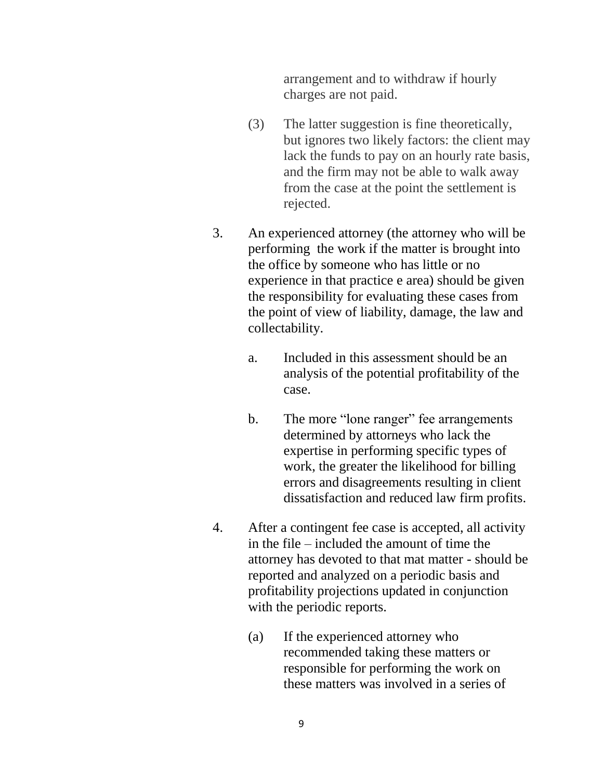arrangement and to withdraw if hourly charges are not paid.

- (3) The latter suggestion is fine theoretically, but ignores two likely factors: the client may lack the funds to pay on an hourly rate basis, and the firm may not be able to walk away from the case at the point the settlement is rejected.
- 3. An experienced attorney (the attorney who will be performing the work if the matter is brought into the office by someone who has little or no experience in that practice e area) should be given the responsibility for evaluating these cases from the point of view of liability, damage, the law and collectability.
	- a. Included in this assessment should be an analysis of the potential profitability of the case.
	- b. The more "lone ranger" fee arrangements determined by attorneys who lack the expertise in performing specific types of work, the greater the likelihood for billing errors and disagreements resulting in client dissatisfaction and reduced law firm profits.
- 4. After a contingent fee case is accepted, all activity in the file – included the amount of time the attorney has devoted to that mat matter - should be reported and analyzed on a periodic basis and profitability projections updated in conjunction with the periodic reports.
	- (a) If the experienced attorney who recommended taking these matters or responsible for performing the work on these matters was involved in a series of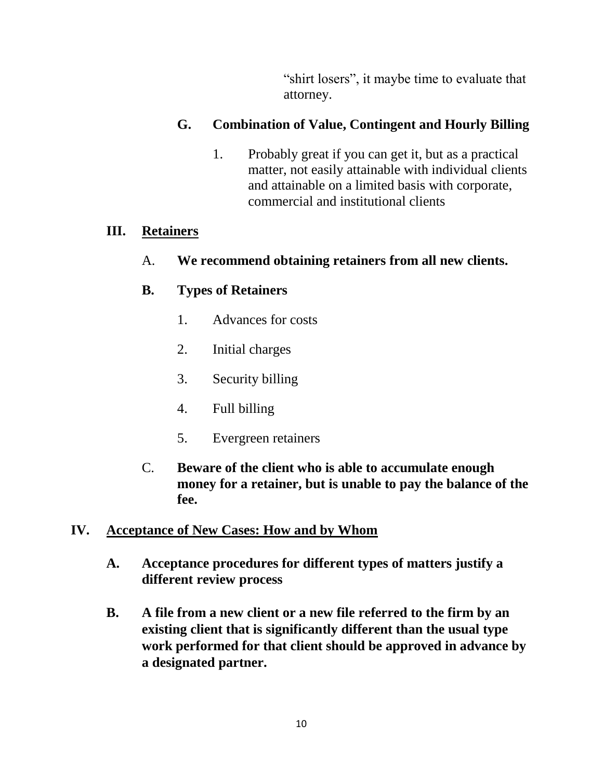"shirt losers", it maybe time to evaluate that attorney.

## **G. Combination of Value, Contingent and Hourly Billing**

1. Probably great if you can get it, but as a practical matter, not easily attainable with individual clients and attainable on a limited basis with corporate, commercial and institutional clients

## **III. Retainers**

A. **We recommend obtaining retainers from all new clients.**

# **B. Types of Retainers**

- 1. Advances for costs
- 2. Initial charges
- 3. Security billing
- 4. Full billing
- 5. Evergreen retainers
- C. **Beware of the client who is able to accumulate enough money for a retainer, but is unable to pay the balance of the fee.**

# **IV. Acceptance of New Cases: How and by Whom**

- **A. Acceptance procedures for different types of matters justify a different review process**
- **B. A file from a new client or a new file referred to the firm by an existing client that is significantly different than the usual type work performed for that client should be approved in advance by a designated partner.**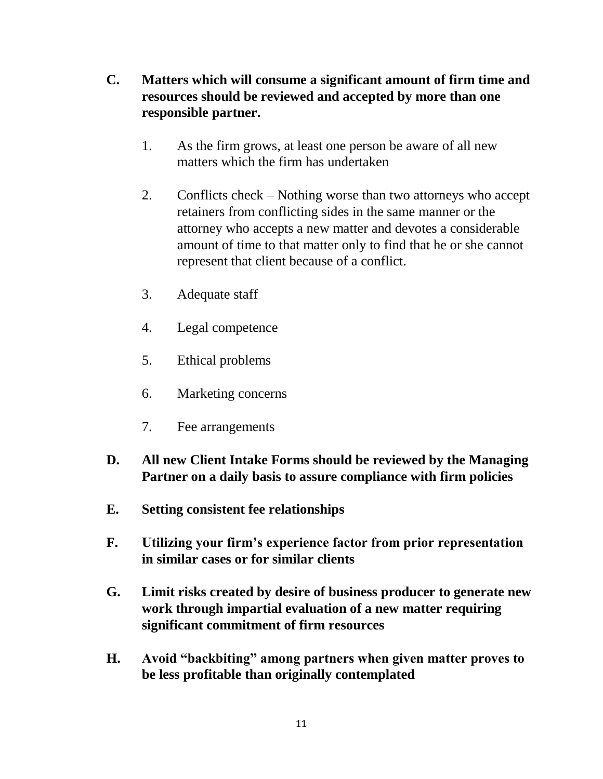- **C. Matters which will consume a significant amount of firm time and resources should be reviewed and accepted by more than one responsible partner.**
	- 1. As the firm grows, at least one person be aware of all new matters which the firm has undertaken
	- 2. Conflicts check Nothing worse than two attorneys who accept retainers from conflicting sides in the same manner or the attorney who accepts a new matter and devotes a considerable amount of time to that matter only to find that he or she cannot represent that client because of a conflict.
	- 3. Adequate staff
	- 4. Legal competence
	- 5. Ethical problems
	- 6. Marketing concerns
	- 7. Fee arrangements
- **D. All new Client Intake Forms should be reviewed by the Managing Partner on a daily basis to assure compliance with firm policies**
- **E. Setting consistent fee relationships**
- **F. Utilizing your firm's experience factor from prior representation in similar cases or for similar clients**
- **G. Limit risks created by desire of business producer to generate new work through impartial evaluation of a new matter requiring significant commitment of firm resources**
- **H. Avoid "backbiting" among partners when given matter proves to be less profitable than originally contemplated**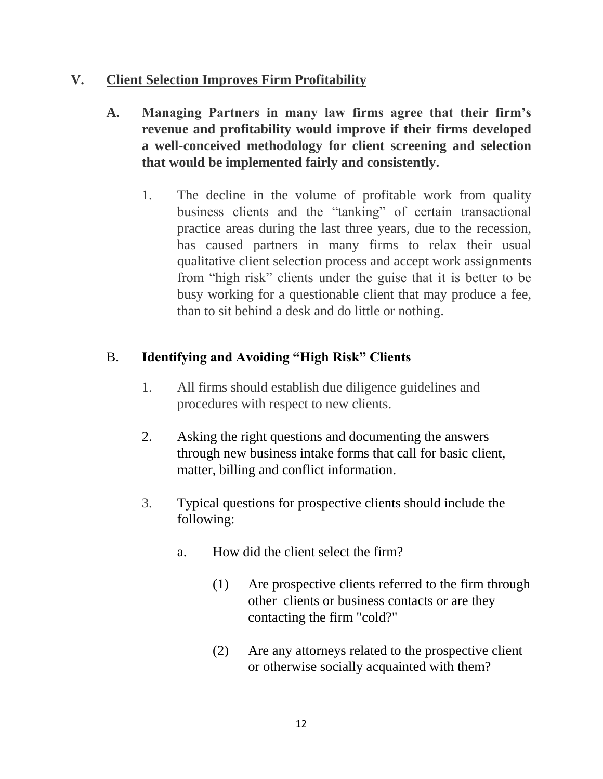## **V. Client Selection Improves Firm Profitability**

- **A. Managing Partners in many law firms agree that their firm's revenue and profitability would improve if their firms developed a well-conceived methodology for client screening and selection that would be implemented fairly and consistently.** 
	- 1. The decline in the volume of profitable work from quality business clients and the "tanking" of certain transactional practice areas during the last three years, due to the recession, has caused partners in many firms to relax their usual qualitative client selection process and accept work assignments from "high risk" clients under the guise that it is better to be busy working for a questionable client that may produce a fee, than to sit behind a desk and do little or nothing.

# B. **Identifying and Avoiding "High Risk" Clients**

- 1. All firms should establish due diligence guidelines and procedures with respect to new clients.
- 2. Asking the right questions and documenting the answers through new business intake forms that call for basic client, matter, billing and conflict information.
- 3. Typical questions for prospective clients should include the following:
	- a. How did the client select the firm?
		- (1) Are prospective clients referred to the firm through other clients or business contacts or are they contacting the firm "cold?"
		- (2) Are any attorneys related to the prospective client or otherwise socially acquainted with them?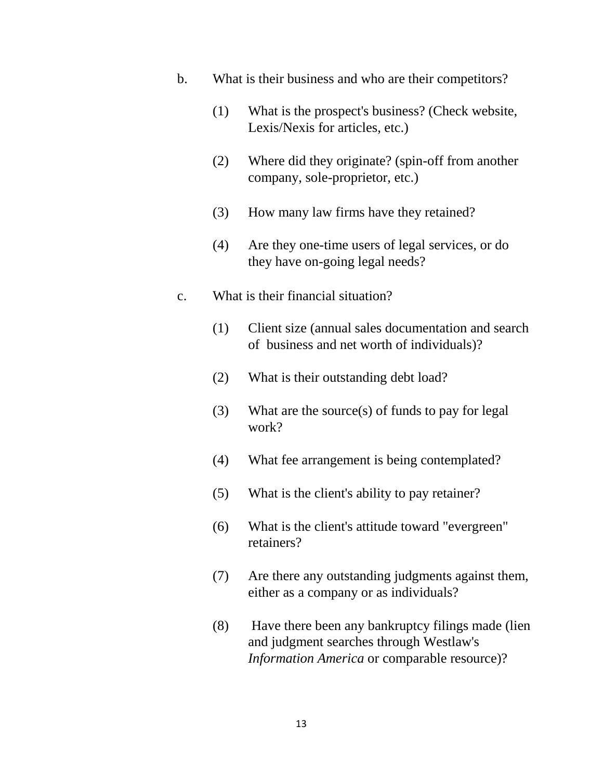- b. What is their business and who are their competitors?
	- (1) What is the prospect's business? (Check website, Lexis/Nexis for articles, etc.)
	- (2) Where did they originate? (spin-off from another company, sole-proprietor, etc.)
	- (3) How many law firms have they retained?
	- (4) Are they one-time users of legal services, or do they have on-going legal needs?
- c. What is their financial situation?
	- (1) Client size (annual sales documentation and search of business and net worth of individuals)?
	- (2) What is their outstanding debt load?
	- (3) What are the source(s) of funds to pay for legal work?
	- (4) What fee arrangement is being contemplated?
	- (5) What is the client's ability to pay retainer?
	- (6) What is the client's attitude toward "evergreen" retainers?
	- (7) Are there any outstanding judgments against them, either as a company or as individuals?
	- (8) Have there been any bankruptcy filings made (lien and judgment searches through Westlaw's *Information America* or comparable resource)?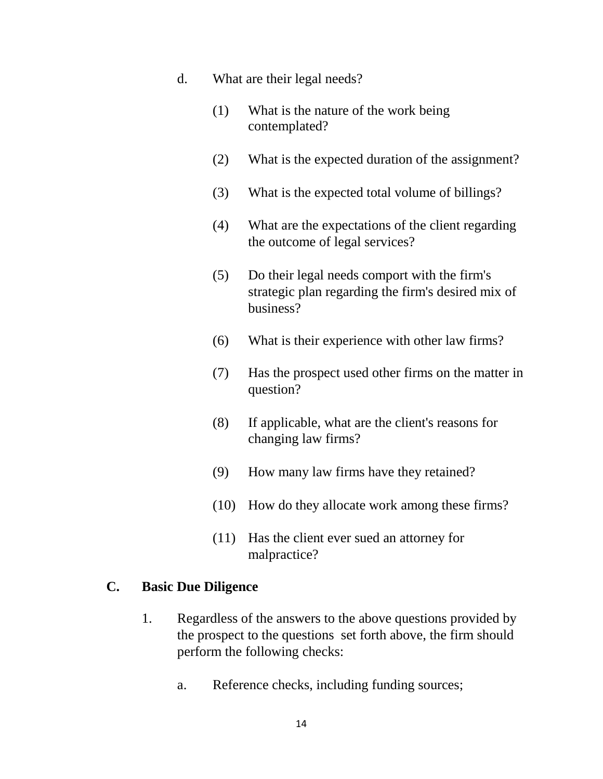- d. What are their legal needs?
	- (1) What is the nature of the work being contemplated?
	- (2) What is the expected duration of the assignment?
	- (3) What is the expected total volume of billings?
	- (4) What are the expectations of the client regarding the outcome of legal services?
	- (5) Do their legal needs comport with the firm's strategic plan regarding the firm's desired mix of business?
	- (6) What is their experience with other law firms?
	- (7) Has the prospect used other firms on the matter in question?
	- (8) If applicable, what are the client's reasons for changing law firms?
	- (9) How many law firms have they retained?
	- (10) How do they allocate work among these firms?
	- (11) Has the client ever sued an attorney for malpractice?

#### **C. Basic Due Diligence**

- 1. Regardless of the answers to the above questions provided by the prospect to the questions set forth above, the firm should perform the following checks:
	- a. Reference checks, including funding sources;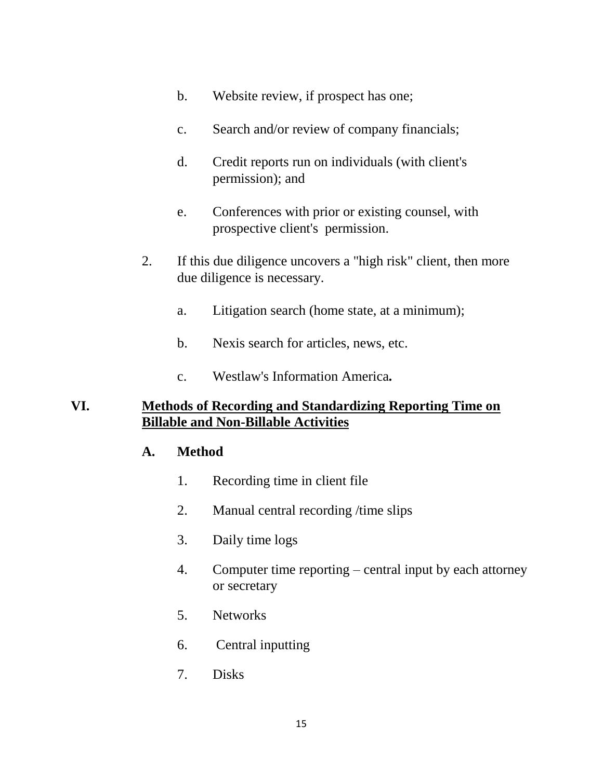- b. Website review, if prospect has one;
- c. Search and/or review of company financials;
- d. Credit reports run on individuals (with client's permission); and
- e. Conferences with prior or existing counsel, with prospective client's permission.
- 2. If this due diligence uncovers a "high risk" client, then more due diligence is necessary.
	- a. Litigation search (home state, at a minimum);
	- b. Nexis search for articles, news, etc.
	- c. Westlaw's Information America*.*

## **VI. Methods of Recording and Standardizing Reporting Time on Billable and Non-Billable Activities**

#### **A. Method**

- 1. Recording time in client file
- 2. Manual central recording /time slips
- 3. Daily time logs
- 4. Computer time reporting central input by each attorney or secretary
- 5. Networks
- 6. Central inputting
- 7. Disks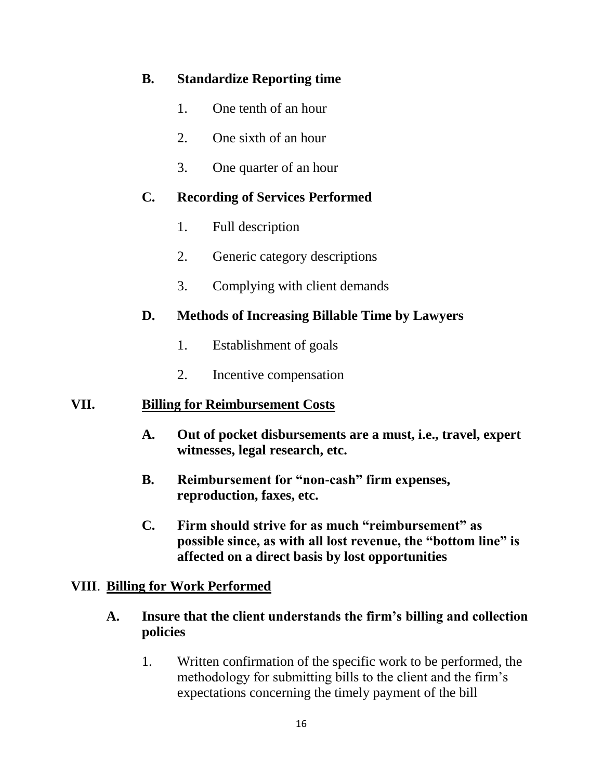## **B. Standardize Reporting time**

- 1. One tenth of an hour
- 2. One sixth of an hour
- 3. One quarter of an hour

## **C. Recording of Services Performed**

- 1. Full description
- 2. Generic category descriptions
- 3. Complying with client demands

## **D. Methods of Increasing Billable Time by Lawyers**

- 1. Establishment of goals
- 2. Incentive compensation

## **VII. Billing for Reimbursement Costs**

- **A. Out of pocket disbursements are a must, i.e., travel, expert witnesses, legal research, etc.**
- **B. Reimbursement for "non-cash" firm expenses, reproduction, faxes, etc.**
- **C. Firm should strive for as much "reimbursement" as possible since, as with all lost revenue, the "bottom line" is affected on a direct basis by lost opportunities**

## **VIII**. **Billing for Work Performed**

- **A. Insure that the client understands the firm's billing and collection policies**
	- 1. Written confirmation of the specific work to be performed, the methodology for submitting bills to the client and the firm's expectations concerning the timely payment of the bill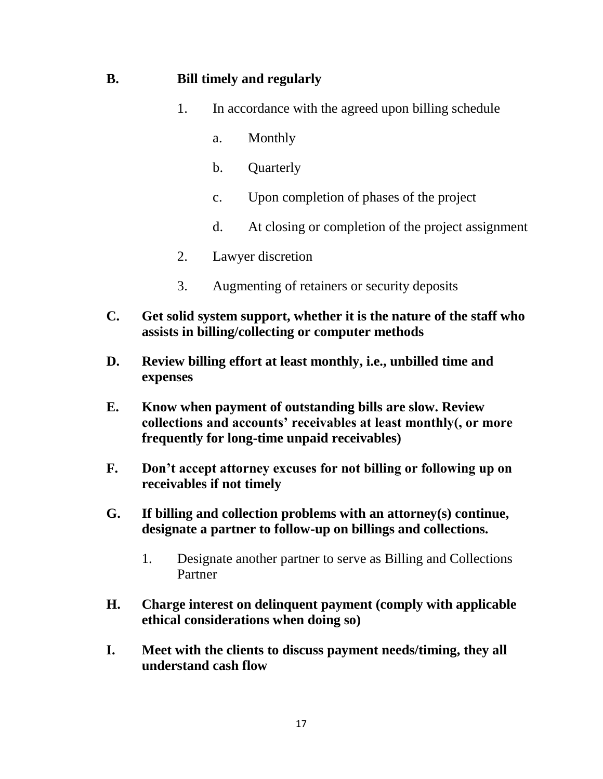### **B. Bill timely and regularly**

- 1. In accordance with the agreed upon billing schedule
	- a. Monthly
	- b. Quarterly
	- c. Upon completion of phases of the project
	- d. At closing or completion of the project assignment
- 2. Lawyer discretion
- 3. Augmenting of retainers or security deposits
- **C. Get solid system support, whether it is the nature of the staff who assists in billing/collecting or computer methods**
- **D. Review billing effort at least monthly, i.e., unbilled time and expenses**
- **E. Know when payment of outstanding bills are slow. Review collections and accounts' receivables at least monthly(, or more frequently for long-time unpaid receivables)**
- **F. Don't accept attorney excuses for not billing or following up on receivables if not timely**
- **G. If billing and collection problems with an attorney(s) continue, designate a partner to follow-up on billings and collections.** 
	- 1. Designate another partner to serve as Billing and Collections Partner
- **H. Charge interest on delinquent payment (comply with applicable ethical considerations when doing so)**
- **I. Meet with the clients to discuss payment needs/timing, they all understand cash flow**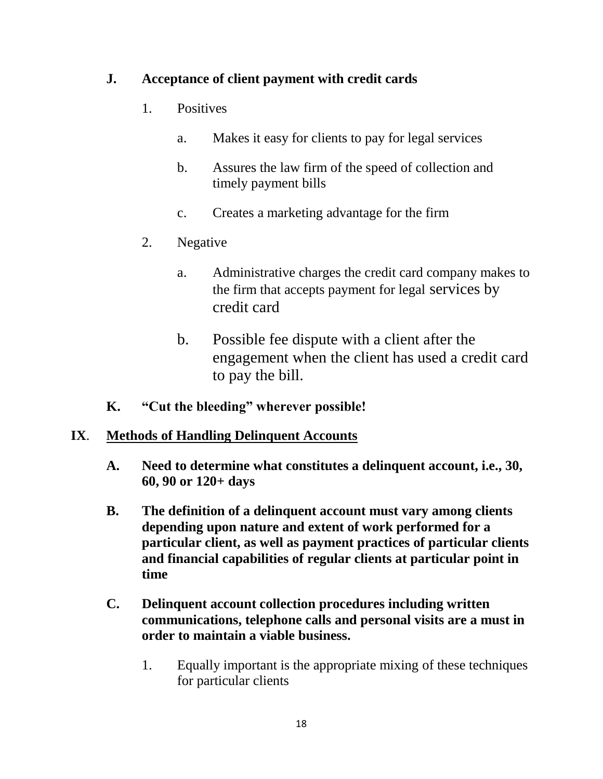## **J. Acceptance of client payment with credit cards**

- 1. Positives
	- a. Makes it easy for clients to pay for legal services
	- b. Assures the law firm of the speed of collection and timely payment bills
	- c. Creates a marketing advantage for the firm
- 2. Negative
	- a. Administrative charges the credit card company makes to the firm that accepts payment for legal services by credit card
	- b. Possible fee dispute with a client after the engagement when the client has used a credit card to pay the bill.
- **K. "Cut the bleeding" wherever possible!**

## **IX**. **Methods of Handling Delinquent Accounts**

- **A. Need to determine what constitutes a delinquent account, i.e., 30, 60, 90 or 120+ days**
- **B. The definition of a delinquent account must vary among clients depending upon nature and extent of work performed for a particular client, as well as payment practices of particular clients and financial capabilities of regular clients at particular point in time**
- **C. Delinquent account collection procedures including written communications, telephone calls and personal visits are a must in order to maintain a viable business.**
	- 1. Equally important is the appropriate mixing of these techniques for particular clients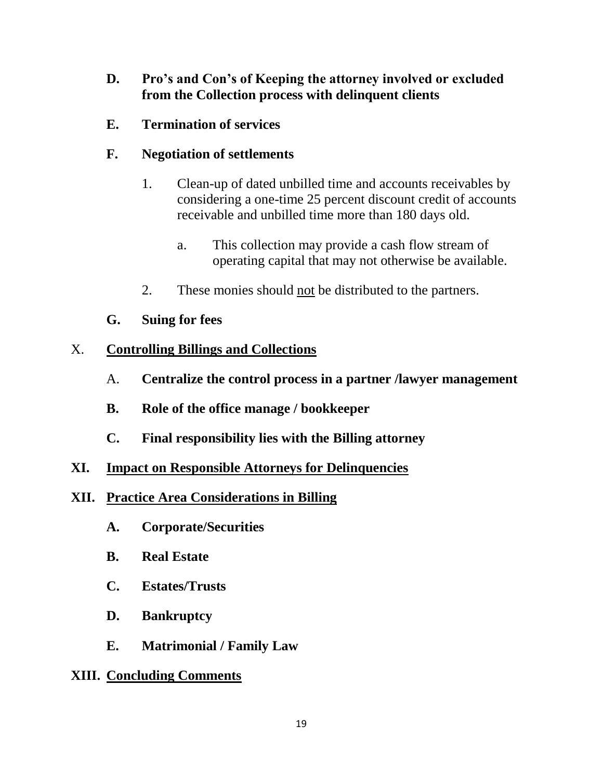- **D. Pro's and Con's of Keeping the attorney involved or excluded from the Collection process with delinquent clients**
- **E. Termination of services**

## **F. Negotiation of settlements**

- 1. Clean-up of dated unbilled time and accounts receivables by considering a one-time 25 percent discount credit of accounts receivable and unbilled time more than 180 days old.
	- a. This collection may provide a cash flow stream of operating capital that may not otherwise be available.
- 2. These monies should not be distributed to the partners.
- **G. Suing for fees**

## X. **Controlling Billings and Collections**

- A. **Centralize the control process in a partner /lawyer management**
- **B. Role of the office manage / bookkeeper**
- **C. Final responsibility lies with the Billing attorney**
- **XI. Impact on Responsible Attorneys for Delinquencies**
- **XII. Practice Area Considerations in Billing**
	- **A. Corporate/Securities**
	- **B. Real Estate**
	- **C. Estates/Trusts**
	- **D. Bankruptcy**
	- **E. Matrimonial / Family Law**

## **XIII. Concluding Comments**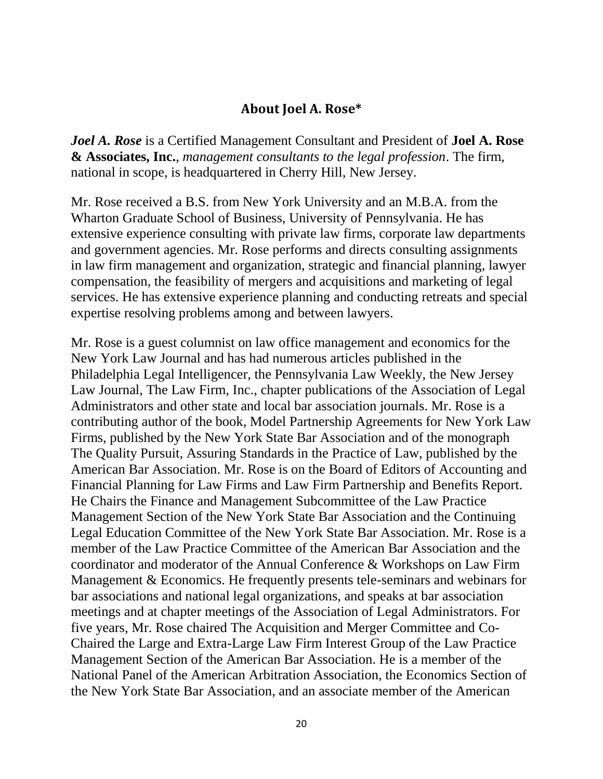## **About Joel A. Rose\***

*Joel A. Rose* is a Certified Management Consultant and President of **Joel A. Rose & Associates, Inc.**, *management consultants to the legal profession*. The firm, national in scope, is headquartered in Cherry Hill, New Jersey.

Mr. Rose received a B.S. from New York University and an M.B.A. from the Wharton Graduate School of Business, University of Pennsylvania. He has extensive experience consulting with private law firms, corporate law departments and government agencies. Mr. Rose performs and directs consulting assignments in law firm management and organization, strategic and financial planning, lawyer compensation, the feasibility of mergers and acquisitions and marketing of legal services. He has extensive experience planning and conducting retreats and special expertise resolving problems among and between lawyers.

Mr. Rose is a guest columnist on law office management and economics for the New York Law Journal and has had numerous articles published in the Philadelphia Legal Intelligencer, the Pennsylvania Law Weekly, the New Jersey Law Journal, The Law Firm, Inc., chapter publications of the Association of Legal Administrators and other state and local bar association journals. Mr. Rose is a contributing author of the book, Model Partnership Agreements for New York Law Firms, published by the New York State Bar Association and of the monograph The Quality Pursuit, Assuring Standards in the Practice of Law, published by the American Bar Association. Mr. Rose is on the Board of Editors of Accounting and Financial Planning for Law Firms and Law Firm Partnership and Benefits Report. He Chairs the Finance and Management Subcommittee of the Law Practice Management Section of the New York State Bar Association and the Continuing Legal Education Committee of the New York State Bar Association. Mr. Rose is a member of the Law Practice Committee of the American Bar Association and the coordinator and moderator of the Annual Conference & Workshops on Law Firm Management & Economics. He frequently presents tele-seminars and webinars for bar associations and national legal organizations, and speaks at bar association meetings and at chapter meetings of the Association of Legal Administrators. For five years, Mr. Rose chaired The Acquisition and Merger Committee and Co-Chaired the Large and Extra-Large Law Firm Interest Group of the Law Practice Management Section of the American Bar Association. He is a member of the National Panel of the American Arbitration Association, the Economics Section of the New York State Bar Association, and an associate member of the American